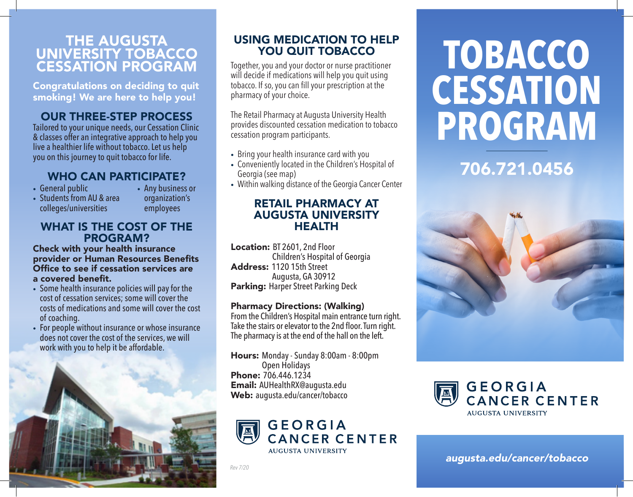## THE AUGUSTA UNIVERSITY TOBACCO CESSATION PROGRAM

Congratulations on deciding to quit smoking! We are here to help you!

## OUR THREE-STEP PROCESS

Tailored to your unique needs, our Cessation Clinic & classes offer an integrative approach to help you live a healthier life without tobacco. Let us help you on this journey to quit tobacco for life.

## WHO CAN PARTICIPATE?

- General public
- Students from AU & area colleges/universities
- Any business or organization's employees

## WHAT IS THE COST OF THE PROGRAM?

Check with your health insurance provider or Human Resources Benefits Office to see if cessation services are a covered benefit.

- Some health insurance policies will pay for the cost of cessation services; some will cover the costs of medications and some will cover the cost of coaching.
- For people without insurance or whose insurance does not cover the cost of the services, we will work with you to help it be affordable.



## USING MEDICATION TO HELP YOU QUIT TOBACCO

Together, you and your doctor or nurse practitioner will decide if medications will help you quit using tobacco. If so, you can fill your prescription at the pharmacy of your choice.

The Retail Pharmacy at Augusta University Health provides discounted cessation medication to tobacco cessation program participants.

- Bring your health insurance card with you
- Conveniently located in the Children's Hospital of Georgia (see map)
- Within walking distance of the Georgia Cancer Center

## RETAIL PHARMACY AT AUGUSTA UNIVERSITY HEALTH

Location: BT 2601, 2nd Floor Children's Hospital of Georgia Address: 1120 15th Street Augusta, GA 30912 Parking: Harper Street Parking Deck

## Pharmacy Directions: (Walking)

From the Children's Hospital main entrance turn right. Take the stairs or elevator to the 2nd floor. Turn right. The pharmacy is at the end of the hall on the left.

Hours: Monday - Sunday 8:00am - 8:00pm Open Holidays Phone: 706.446.1234 Email: AUHealthRX@augusta.edu Web: augusta.edu/cancer/tobacco



*Rev 7/20*

# **TOBACCO CESSATION PROGRAM**

## 706.721.0456





*augusta.edu/cancer/tobacco*